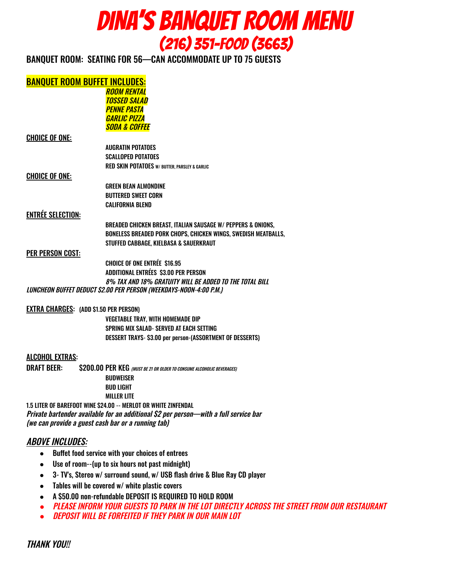

BANQUET ROOM: SEATING FOR 56—CAN ACCOMMODATE UP TO 75 GUESTS

#### BANQUET ROOM BUFFET INCLUDES:

ROOM RENTAL TOSSED SALAD **PENNE PASTA** GARLIC PIZZA SODA & COFFEE

#### CHOICE OF ONE:

AUGRATIN POTATOES SCALLOPED POTATOES RED SKIN POTATOES W/ BUTTER, PARSLEY & GARLIC

#### CHOICE OF ONE:

GREEN BEAN ALMONDINE BUTTERED SWEET CORN CALIFORNIA BLEND

#### ENTRÉE SELECTION:

BREADED CHICKEN BREAST, ITALIAN SAUSAGE W/ PEPPERS & ONIONS, BONELESS BREADED PORK CHOPS, CHICKEN WINGS, SWEDISH MEATBALLS, STUFFED CABBAGE, KIELBASA & SAUERKRAUT

#### PER PERSON COST:

CHOICE OF ONE ENTRÉE \$16.95 ADDITIONAL ENTRÉES \$3.00 PER PERSON 8% TAX AND 18% GRATUITY WILL BE ADDED TO THE TOTAL BILL LUNCHEON BUFFET DEDUCT \$2.00 PER PERSON (WEEKDAYS-NOON-4:00 P.M.)

#### EXTRA CHARGES: (ADD \$1.50 PER PERSON)

VEGETABLE TRAY, WITH HOMEMADE DIP SPRING MIX SALAD- SERVED AT EACH SETTING DESSERT TRAYS- \$3.00 per person-(ASSORTMENT OF DESSERTS)

#### ALCOHOL EXTRAS:

DRAFT BEER: \$200.00 PER KEG (MUST BE 21 OR OLDER TO CONSUME ALCOHOLIC BEVERAGES) **BUDWEISER** BUD LIGHT MILLER LITE

1.5 LITER OF BAREFOOT WINE \$24.00 -- MERLOT OR WHITE ZINFENDAL Private bartender available for an additional \$2 per person—with <sup>a</sup> full service bar (we can provide <sup>a</sup> guest cash bar or <sup>a</sup> running tab)

#### ABOVE INCLUDES:

- Buffet food service with your choices of entrees
- Use of room--(up to six hours not past midnight)
- 3- TV's, Stereo w/ surround sound, w/ USB flash drive & Blue Ray CD player
- Tables will be covered w/ white plastic covers
- A \$50.00 non-refundable DEPOSIT IS REQUIRED TO HOLD ROOM
- *●* PLEASE INFORM YOUR GUESTS TO PARK IN THE LOT DIRECTLY ACROSS THE STREET FROM OUR RESTAURANT
- *●* DEPOSIT WILL BE FORFEITED IF THEY PARK IN OUR MAIN LOT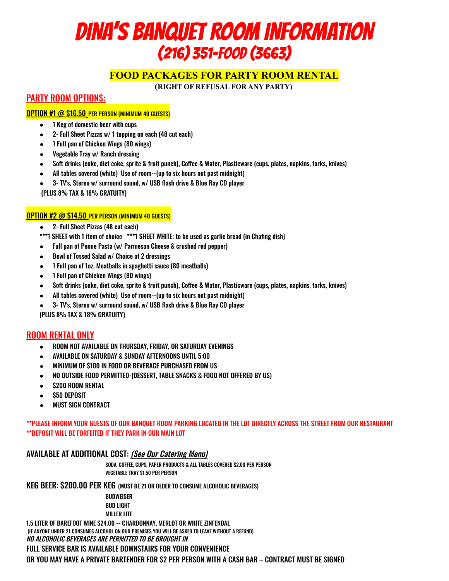# DINA'S BANQUET ROOM INFORMATION (216) 351-FOOD (3663)

#### **FOOD PACKAGES FOR PARTY ROOM RENTAL**

**(RIGHT OF REFUSAL FOR ANY PARTY)**

#### PARTY ROOM OPTIONS:

#### OPTION #1 @ \$16.50 PER PERSON (MINIMUM 40 GUESTS)

- 1 Keg of domestic beer with cups
- 2- Full Sheet Pizzas w/ 1 topping on each (48 cut each)
- 1 Full pan of Chicken Wings (80 wings)
- Vegetable Tray w/ Ranch dressing
- Soft drinks (coke, diet coke, sprite & fruit punch), Coffee & Water, Plasticware (cups, plates, napkins, forks, knives)
- All tables covered (white) Use of room--(up to six hours not past midnight)
- 3- TV's, Stereo w/ surround sound, w/ USB flash drive & Blue Ray CD player (PLUS 8% TAX & 18% GRATUITY)

#### OPTION #2 @ \$14.50 PER PERSON (MINIMUM 40 GUESTS)

- 2- Full Sheet Pizzas (48 cut each)
- \*\*\*1 SHEET with 1 item of choice \*\*\*1 SHEET WHITE: to be used as garlic bread (in Chafing dish)
- Full pan of Penne Pasta (w/ Parmesan Cheese & crushed red pepper)
- Bowl of Tossed Salad w/ Choice of 2 dressings
- 1 Full pan of 1oz. Meatballs in spaghetti sauce (80 meatballs)
- 1 Full pan of Chicken Wings (80 wings)
- Soft drinks (coke, diet coke, sprite & fruit punch), Coffee & Water, Plasticware (cups, plates, napkins, forks, knives)
- All tables covered (white) Use of room--(up to six hours not past midnight)
- 3- TV's, Stereo w/ surround sound, w/ USB flash drive & Blue Ray CD player (PLUS 8% TAX & 18% GRATUITY)

#### ROOM RENTAL ONLY

- ROOM NOT AVAILABLE ON THURSDAY, FRIDAY, OR SATURDAY EVENINGS
- AVAILABLE ON SATURDAY & SUNDAY AFTERNOONS UNTIL 5:00
- MINIMUM OF \$100 IN FOOD OR BEVERAGE PURCHASED FROM US
- NO OUTSIDE FOOD PERMITTED-(DESSERT, TABLE SNACKS & FOOD NOT OFFERED BY US)
- **\$200 ROOM RENTAL**
- **\$50 DEPOSIT**
- **MUST SIGN CONTRACT**

\*\*PLEASE INFORM YOUR GUESTS OF OUR BANQUET ROOM PARKING LOCATED IN THE LOT DIRECTLY ACROSS THE STREET FROM OUR RESTAURANT \*\*DEPOSIT WILL BE FORFEITED IF THEY PARK IN OUR MAIN LOT

#### AVAILABLE AT ADDITIONAL COST: (See Our Catering Menu)

SODA, COFFEE, CUPS, PAPER PRODUCTS & ALL TABLES COVERED \$2.00 PER PERSON VEGETABLE TRAY \$1.50 PER PERSON

KEG BEER: \$200.00 PER KEG (MUST BE 21 OR OLDER TO CONSUME ALCOHOLIC BEVERAGES)

BUDWEISER BUD LIGHT MILLER LITE

1.5 LITER OF BAREFOOT WINE \$24.00 -- CHARDONNAY, MERLOT OR WHITE ZINFENDAL (IF ANYONE UNDER 21 CONSUMES ALCOHOL ON OUR PREMISES YOU WILL BE ASKED TO LEAVE WITHOUT A REFUND) NO ALCOHOLIC BEVERAGES ARE PERMITTED TO BE BROUGHT IN

FULL SERVICE BAR IS AVAILABLE DOWNSTAIRS FOR YOUR CONVENIENCE

OR YOU MAY HAVE A PRIVATE BARTENDER FOR \$2 PER PERSON WITH A CASH BAR – CONTRACT MUST BE SIGNED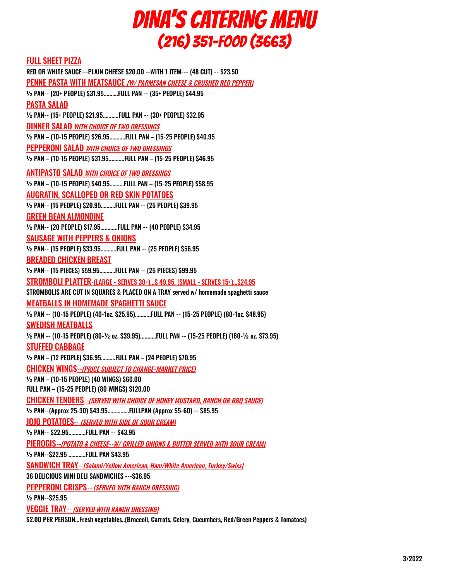## DINA'S CATERING MENU (216) 351-FOOD (3663)

#### FULL SHEET PIZZA

RED OR WHITE SAUCE—PLAIN CHEESE \$20.00 --WITH 1 ITEM--- (48 CUT) -- \$23.50 PENNE PASTA WITH MEATSAUCE (W/ PARMESAN CHEESE & CRUSHED RED PEPPER) ½ PAN-- (20+ PEOPLE) \$31.95..........FULL PAN -- (35+ PEOPLE) \$44.95 PASTA SALAD ½ PAN-- (15+ PEOPLE) \$21.95...........FULL PAN -- (30+ PEOPLE) \$32.95 DINNER SALAD WITH CHOICE OF TWO DRESSINGS ½ PAN – (10-15 PEOPLE) \$26.95...........FULL PAN – (15-25 PEOPLE) \$40.95 PEPPERONI SALAD WITH CHOICE OF TWO DRESSINGS ½ PAN – (10-15 PEOPLE) \$31.95...........FULL PAN – (15-25 PEOPLE) \$46.95 ANTIPASTO SALAD WITH CHOICE OF TWO DRESSINGS ½ PAN – (10-15 PEOPLE) \$40.95..........FULL PAN – (15-25 PEOPLE) \$58.95 AUGRATIN, SCALLOPED OR RED SKIN POTATOES ½ PAN-- (15 PEOPLE) \$20.95..........FULL PAN -- (25 PEOPLE) \$39.95 GREEN BEAN ALMONDINE ½ PAN-- (20 PEOPLE) \$17.95............FULL PAN -- (40 PEOPLE) \$34.95 SAUSAGE WITH PEPPERS & ONIONS ½ PAN-- (15 PEOPLE) \$33.95...........FULL PAN -- (25 PEOPLE) \$56.95 BREADED CHICKEN BREAST ½ PAN-- (15 PIECES) \$59.95...........FULL PAN -- (25 PIECES) \$99.95 STROMBOLI PLATTER-(LARGE - SERVES 30+)...\$ 49.95, (SMALL - SERVES 15+)...\$24.95 STROMBOLIS ARE CUT IN SQUARES & PLACED ON A TRAY served w/ homemade spaghetti sauce MEATBALLS IN HOMEMADE SPAGHETTI SAUCE ½ PAN -- (10-15 PEOPLE) (40-1oz. \$25.95)...........FULL PAN -- (15-25 PEOPLE) (80-1oz. \$48.95) SWEDISH MEATBALLS ½ PAN -- (10-15 PEOPLE) (80-½ oz. \$39.95)...........FULL PAN -- (15-25 PEOPLE) (160-½ oz. \$73.95) STUFFED CABBAGE ½ PAN – (12 PEOPLE) \$36.95..........FULL PAN – (24 PEOPLE) \$70.95 CHICKEN WINGS--(PRICE SUBJECT TO CHANGE-MARKET PRICE) ½ PAN – (10-15 PEOPLE) (40 WINGS) \$60.00 FULL PAN – (15-25 PEOPLE) (80 WINGS) \$120.00 CHICKEN TENDERS--(SERVED WITH CHOICE OF HONEY MUSTARD, RANCH OR BBQ SAUCE) ½ PAN--(Approx 25-30) \$43.95...............FULLPAN (Approx 55-60) -- \$85.95 JOJO POTATOES-- (SERVED WITH SIDE OF SOUR CREAM) ½ PAN-- \$22.95............FULL PAN -- \$43.95 PIEROGIS--(POTATO & CHEESE--W/ GRILLED ONIONS & BUTTER SERVED WITH SOUR CREAM) ½ PAN--\$22.95 ............FULL PAN \$43.95 SANDWICH TRAY--(Salami/Yellow American, Ham/White American, Turkey/Swiss) 36 DELICIOUS MINI DELI SANDWICHES ---\$36.95 PEPPERONI CRISPS-- (SERVED WITH RANCH DRESSING) ½ PAN--\$25.95

VEGGIE TRAY-- (SERVED WITH RANCH DRESSING)

\$2.00 PER PERSON...Fresh vegetables..(Broccoli, Carrots, Celery, Cucumbers, Red/Green Peppers & Tomatoes)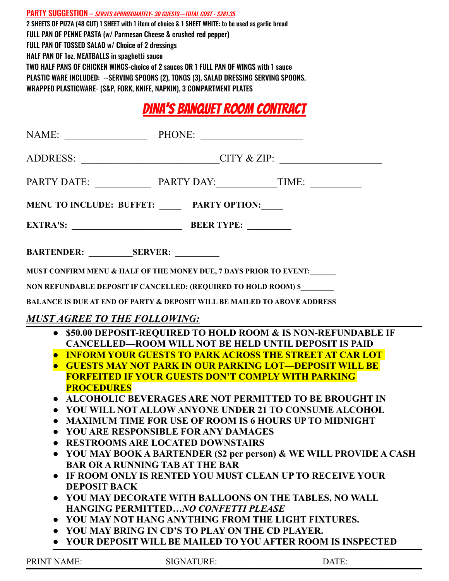PARTY SUGGESTION - SERVES APRROXIMATELY-30 GUESTS-TOTAL COST - \$281.35 2 SHEETS OF PIZZA (48 CUT) 1 SHEET with 1 item of choice & 1 SHEET WHITE: to be used as garlic bread FULL PAN OF PENNE PASTA (w/ Parmesan Cheese & crushed red pepper) FULL PAN OF TOSSED SALAD w/ Choice of 2 dressings HALF PAN OF 1oz. MEATBALLS in spaghetti sauce TWO HALF PANS OF CHICKEN WINGS-choice of 2 sauces OR 1 FULL PAN OF WINGS with 1 sauce PLASTIC WARE INCLUDED: --SERVING SPOONS (2), TONGS (3), SALAD DRESSING SERVING SPOONS, WRAPPED PLASTICWARE- (S&P, FORK, KNIFE, NAPKIN), 3 COMPARTMENT PLATES

## Dina's Banquet room contract

| ADDRESS: __________________________CITY & ZIP: __________________________________               |                                                                                                                                                                                                                                                                                                                                                                                                                                                                                                                                                                  |                                                                                                                                                                                                                                                                                                                                                                                                                                                     |  |
|-------------------------------------------------------------------------------------------------|------------------------------------------------------------------------------------------------------------------------------------------------------------------------------------------------------------------------------------------------------------------------------------------------------------------------------------------------------------------------------------------------------------------------------------------------------------------------------------------------------------------------------------------------------------------|-----------------------------------------------------------------------------------------------------------------------------------------------------------------------------------------------------------------------------------------------------------------------------------------------------------------------------------------------------------------------------------------------------------------------------------------------------|--|
|                                                                                                 |                                                                                                                                                                                                                                                                                                                                                                                                                                                                                                                                                                  |                                                                                                                                                                                                                                                                                                                                                                                                                                                     |  |
| MENU TO INCLUDE: BUFFET: _____ PARTY OPTION:____                                                |                                                                                                                                                                                                                                                                                                                                                                                                                                                                                                                                                                  |                                                                                                                                                                                                                                                                                                                                                                                                                                                     |  |
|                                                                                                 |                                                                                                                                                                                                                                                                                                                                                                                                                                                                                                                                                                  |                                                                                                                                                                                                                                                                                                                                                                                                                                                     |  |
|                                                                                                 |                                                                                                                                                                                                                                                                                                                                                                                                                                                                                                                                                                  |                                                                                                                                                                                                                                                                                                                                                                                                                                                     |  |
| MUST CONFIRM MENU & HALF OF THE MONEY DUE, 7 DAYS PRIOR TO EVENT:                               |                                                                                                                                                                                                                                                                                                                                                                                                                                                                                                                                                                  |                                                                                                                                                                                                                                                                                                                                                                                                                                                     |  |
| NON REFUNDABLE DEPOSIT IF CANCELLED: (REQUIRED TO HOLD ROOM) \$                                 |                                                                                                                                                                                                                                                                                                                                                                                                                                                                                                                                                                  |                                                                                                                                                                                                                                                                                                                                                                                                                                                     |  |
| <b>BALANCE IS DUE AT END OF PARTY &amp; DEPOSIT WILL BE MAILED TO ABOVE ADDRESS</b>             |                                                                                                                                                                                                                                                                                                                                                                                                                                                                                                                                                                  |                                                                                                                                                                                                                                                                                                                                                                                                                                                     |  |
| <b>MUST AGREE TO THE FOLLOWING:</b>                                                             |                                                                                                                                                                                                                                                                                                                                                                                                                                                                                                                                                                  |                                                                                                                                                                                                                                                                                                                                                                                                                                                     |  |
| <b>PROCEDURES</b><br>$\bullet$<br><b>BAR OR A RUNNING TAB AT THE BAR</b><br><b>DEPOSIT BACK</b> | <b>CANCELLED—ROOM WILL NOT BE HELD UNTIL DEPOSIT IS PAID</b><br><b>GUESTS MAY NOT PARK IN OUR PARKING LOT—DEPOSIT WILL BE</b><br><b>FORFEITED IF YOUR GUESTS DON'T COMPLY WITH PARKING</b><br><b>MAXIMUM TIME FOR USE OF ROOM IS 6 HOURS UP TO MIDNIGHT</b><br>YOU ARE RESPONSIBLE FOR ANY DAMAGES<br><b>RESTROOMS ARE LOCATED DOWNSTAIRS</b><br>YOU MAY DECORATE WITH BALLOONS ON THE TABLES, NO WALL<br><b>HANGING PERMITTED NO CONFETTI PLEASE</b><br>YOU MAY NOT HANG ANYTHING FROM THE LIGHT FIXTURES.<br>• YOU MAY BRING IN CD'S TO PLAY ON THE CD PLAYER. | • \$50.00 DEPOSIT-REQUIRED TO HOLD ROOM & IS NON-REFUNDABLE IF<br><b>INFORM YOUR GUESTS TO PARK ACROSS THE STREET AT CAR LOT</b><br>ALCOHOLIC BEVERAGES ARE NOT PERMITTED TO BE BROUGHT IN<br>YOU WILL NOT ALLOW ANYONE UNDER 21 TO CONSUME ALCOHOL<br>YOU MAY BOOK A BARTENDER (\$2 per person) & WE WILL PROVIDE A CASH<br>IF ROOM ONLY IS RENTED YOU MUST CLEAN UP TO RECEIVE YOUR<br>YOUR DEPOSIT WILL BE MAILED TO YOU AFTER ROOM IS INSPECTED |  |

| <b>PRINT NAME:</b> |  |
|--------------------|--|
|--------------------|--|

 $PIGNATURE:$  DATE: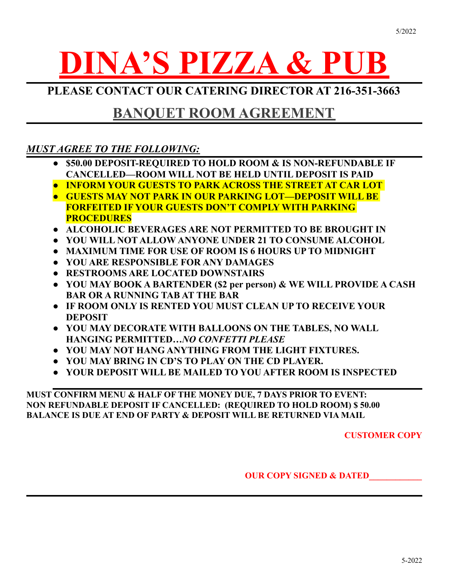# **DINA'S PIZZA & PUB**

**PLEASE CONTACT OUR CATERING DIRECTOR AT 216-351-3663**

### **BANQUET ROOM AGREEMENT**

#### *MUST AGREE TO THE FOLLOWING:*

- **● \$50.00 DEPOSIT-REQUIRED TO HOLD ROOM & IS NON-REFUNDABLE IF CANCELLED—ROOM WILL NOT BE HELD UNTIL DEPOSIT IS PAID**
- **● INFORM YOUR GUESTS TO PARK ACROSS THE STREET AT CAR LOT**
- **● GUESTS MAY NOT PARK IN OUR PARKING LOT—DEPOSIT WILL BE FORFEITED IF YOUR GUESTS DON'T COMPLY WITH PARKING PROCEDURES**
- **● ALCOHOLIC BEVERAGES ARE NOT PERMITTED TO BE BROUGHT IN**
- **● YOU WILL NOT ALLOW ANYONE UNDER 21 TO CONSUME ALCOHOL**
- **● MAXIMUM TIME FOR USE OF ROOM IS 6 HOURS UP TO MIDNIGHT**
- **● YOU ARE RESPONSIBLE FOR ANY DAMAGES**
- **● RESTROOMS ARE LOCATED DOWNSTAIRS**
- **● YOU MAY BOOK A BARTENDER (\$2 per person) & WE WILL PROVIDE A CASH BAR OR A RUNNING TAB AT THE BAR**
- **● IF ROOM ONLY IS RENTED YOU MUST CLEAN UP TO RECEIVE YOUR DEPOSIT**
- **● YOU MAY DECORATE WITH BALLOONS ON THE TABLES, NO WALL HANGING PERMITTED***…NO CONFETTI PLEASE*
- **● YOU MAY NOT HANG ANYTHING FROM THE LIGHT FIXTURES.**
- **● YOU MAY BRING IN CD'S TO PLAY ON THE CD PLAYER.**
- **● YOUR DEPOSIT WILL BE MAILED TO YOU AFTER ROOM IS INSPECTED**

**MUST CONFIRM MENU & HALF OF THE MONEY DUE, 7 DAYS PRIOR TO EVENT: NON REFUNDABLE DEPOSIT IF CANCELLED: (REQUIRED TO HOLD ROOM) \$ 50.00 BALANCE IS DUE AT END OF PARTY & DEPOSIT WILL BE RETURNED VIA MAIL**

**CUSTOMER COPY**

**OUR COPY SIGNED & DATED**